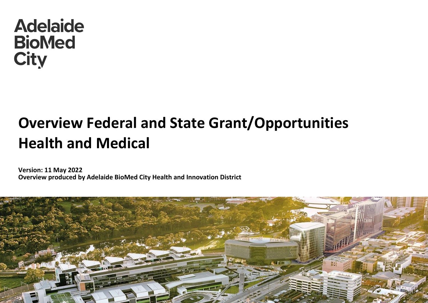## **Adelaide BioMed City**

## **Overview Federal and State Grant/Opportunities Health and Medical**

**Version: 11 May 2022 Overview produced by Adelaide BioMed City Health and Innovation District**

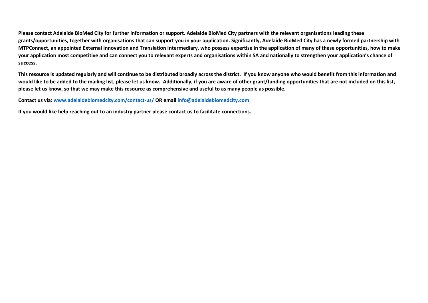**Please contact Adelaide BioMed City for further information or support. Adelaide BioMed City partners with the relevant organisations leading these grants/opportunities, together with organisations that can support you in your application. Significantly, Adelaide BioMed City has a newly formed partnership with MTPConnect, an appointed External Innovation and Translation Intermediary, who possess expertise in the application of many of these opportunities, how to make your application most competitive and can connect you to relevant experts and organisations within SA and nationally to strengthen your application's chance of success.**

**This resource is updated regularly and will continue to be distributed broadly across the district. If you know anyone who would benefit from this information and would like to be added to the mailing list, please let us know. Additionally, if you are aware of other grant/funding opportunities that are not included on this list, please let us know, so that we may make this resource as comprehensive and useful to as many people as possible.**

**Contact us via[: www.adelaidebiomedcity.com/contact-us/](http://www.adelaidebiomedcity.com/contact-us/) OR email [info@adelaidebiomedcity.com](mailto:info@adelaidebiomedcity.com)**

**If you would like help reaching out to an industry partner please contact us to facilitate connections.**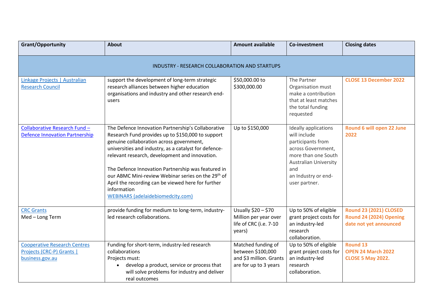| <b>Grant/Opportunity</b>                                                            | <b>About</b>                                                                                                                                                                                                                                                                                                                                                                                                                                                                                            | <b>Amount available</b>                                                                     | Co-investment                                                                                                                                                                         | <b>Closing dates</b>                                                               |  |
|-------------------------------------------------------------------------------------|---------------------------------------------------------------------------------------------------------------------------------------------------------------------------------------------------------------------------------------------------------------------------------------------------------------------------------------------------------------------------------------------------------------------------------------------------------------------------------------------------------|---------------------------------------------------------------------------------------------|---------------------------------------------------------------------------------------------------------------------------------------------------------------------------------------|------------------------------------------------------------------------------------|--|
| <b>INDUSTRY - RESEARCH COLLABORATION AND STARTUPS</b>                               |                                                                                                                                                                                                                                                                                                                                                                                                                                                                                                         |                                                                                             |                                                                                                                                                                                       |                                                                                    |  |
| Linkage Projects   Australian<br><b>Research Council</b>                            | support the development of long-term strategic<br>research alliances between higher education<br>organisations and industry and other research end-<br>users                                                                                                                                                                                                                                                                                                                                            | \$50,000.00 to<br>\$300,000.00                                                              | The Partner<br>Organisation must<br>make a contribution<br>that at least matches<br>the total funding<br>requested                                                                    | <b>CLOSE 13 December 2022</b>                                                      |  |
| Collaborative Research Fund -<br><b>Defence Innovation Partnership</b>              | The Defence Innovation Partnership's Collaborative<br>Research Fund provides up to \$150,000 to support<br>genuine collaboration across government,<br>universities and industry, as a catalyst for defence-<br>relevant research, development and innovation.<br>The Defence Innovation Partnership was featured in<br>our ABMC Mini-review Webinar series on the 29 <sup>th</sup> of<br>April the recording can be viewed here for further<br>information<br><b>WEBINARS</b> (adelaidebiomedcity.com) | Up to \$150,000                                                                             | Ideally applications<br>will include<br>participants from<br>across Government,<br>more than one South<br><b>Australian University</b><br>and<br>an Industry or end-<br>user partner. | Round 6 will open 22 June<br>2022                                                  |  |
| <b>CRC Grants</b><br>Med-Long Term                                                  | provide funding for medium to long-term, industry-<br>led research collaborations.                                                                                                                                                                                                                                                                                                                                                                                                                      | Usually \$20 - \$70<br>Million per year over<br>life of CRC (i.e. 7-10<br>years)            | Up to 50% of eligible<br>grant project costs for<br>an industry-led<br>research<br>collaboration.                                                                                     | <b>Round 23 (2021) CLOSED</b><br>Round 24 (2024) Opening<br>date not yet announced |  |
| <b>Cooperative Research Centres</b><br>Projects (CRC-P) Grants  <br>business.gov.au | Funding for short-term, industry-led research<br>collaborations<br>Projects must:<br>develop a product, service or process that<br>will solve problems for industry and deliver<br>real outcomes                                                                                                                                                                                                                                                                                                        | Matched funding of<br>between \$100,000<br>and \$3 million. Grants<br>are for up to 3 years | Up to 50% of eligible<br>grant project costs for<br>an industry-led<br>research<br>collaboration.                                                                                     | <b>Round 13</b><br><b>OPEN 24 March 2022</b><br><b>CLOSE 5 May 2022.</b>           |  |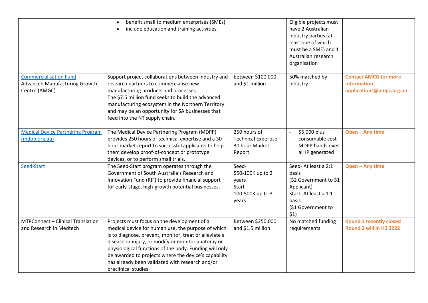|                                                                                          | benefit small to medium enterprises (SMEs)<br>$\bullet$<br>include education and training activities.                                                                                                                                                                                                                                                                                                          |                                                                            | Eligible projects must<br>have 2 Australian<br>industry parties (at<br>least one of which<br>must be a SME) and 1<br>Australian research<br>organisation |                                                                         |
|------------------------------------------------------------------------------------------|----------------------------------------------------------------------------------------------------------------------------------------------------------------------------------------------------------------------------------------------------------------------------------------------------------------------------------------------------------------------------------------------------------------|----------------------------------------------------------------------------|----------------------------------------------------------------------------------------------------------------------------------------------------------|-------------------------------------------------------------------------|
| <b>Commercialisation Fund -</b><br><b>Advanced Manufacturing Growth</b><br>Centre (AMGC) | Support project collaborations between industry and<br>research partners to commercialise new<br>manufacturing products and processes.<br>The \$7.5 million fund seeks to build the advanced<br>manufacturing ecosystem in the Northern Territory<br>and may be an opportunity for SA businesses that<br>feed into the NT supply chain.                                                                        | between \$100,000<br>and \$1 million                                       | 50% matched by<br>industry                                                                                                                               | <b>Contact AMCG for more</b><br>information<br>applications@amgc.org.au |
| <b>Medical Device Partnering Program</b><br>(mdpp.org.au)                                | The Medical Device Partnering Program (MDPP)<br>provides 250 hours of technical expertise and a 30<br>hour market report to successful applicants to help<br>them develop proof-of-concept or prototype<br>devices, or to perform small trials.                                                                                                                                                                | 250 hours of<br>Technical Expertise +<br>30 hour Market<br>Report          | \$5,000 plus<br>$\blacksquare$<br>consumable cost<br>MDPP hands over<br>all IP generated                                                                 | Open - Any time                                                         |
| Seed-Start                                                                               | The Seed-Start program operates through the<br>Government of South Australia's Research and<br>Innovation Fund (RIF) to provide financial support<br>for early-stage, high-growth potential businesses.                                                                                                                                                                                                        | Seed-<br>\$50-100K up to 2<br>years<br>Start-<br>100-500K up to 3<br>years | Seed-At least a 2:1<br>basis<br>(\$2 Government to \$1<br>Applicant)<br>Start-At least a 1:1<br>basis<br>(\$1 Government to<br>\$1)                      | Open - Any time                                                         |
| MTPConnect - Clinical Translation<br>and Research in Medtech                             | Projects must focus on the development of a<br>medical device for human use, the purpose of which<br>is to diagnose, prevent, monitor, treat or alleviate a<br>disease or injury, or modify or monitor anatomy or<br>physiological functions of the body. Funding will only<br>be awarded to projects where the device's capability<br>has already been validated with research and/or<br>preclinical studies. | Between \$250,000<br>and \$1.5 million                                     | No matched funding<br>requirements                                                                                                                       | <b>Round 1 recently closed</b><br>Round 2 will in H2 2022               |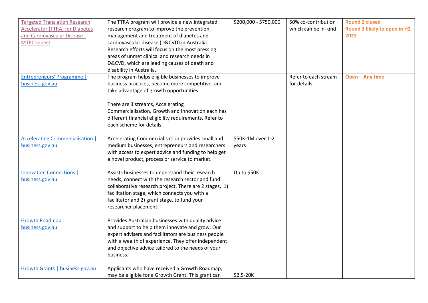| <b>Targeted Translation Research</b>    | The TTRA program will provide a new integrated         | \$200,000 - \$750,000 | 50% co-contribution  | <b>Round 2 closed</b>        |
|-----------------------------------------|--------------------------------------------------------|-----------------------|----------------------|------------------------------|
| <b>Accelerator (TTRA) for Diabetes</b>  | research program to improve the prevention,            |                       | which can be in-kind | Round 3 likely to open in H2 |
| and Cardiovascular Disease:             | management and treatment of diabetes and               |                       |                      | 2022                         |
| <b>MTPConnect</b>                       | cardiovascular disease (D&CVD) in Australia.           |                       |                      |                              |
|                                         | Research efforts will focus on the most pressing       |                       |                      |                              |
|                                         | areas of unmet clinical and research needs in          |                       |                      |                              |
|                                         | D&CVD, which are leading causes of death and           |                       |                      |                              |
|                                         | disability in Australia.                               |                       |                      |                              |
| Entrepreneurs' Programme                | The program helps eligible businesses to improve       |                       | Refer to each stream | Open - Any time              |
| business.gov.au                         | business practices, become more competitive, and       |                       | for details          |                              |
|                                         | take advantage of growth opportunities.                |                       |                      |                              |
|                                         |                                                        |                       |                      |                              |
|                                         | There are 3 streams, Accelerating                      |                       |                      |                              |
|                                         | Commercialisation, Growth and Innovation each has      |                       |                      |                              |
|                                         | different financial eligibility requirements. Refer to |                       |                      |                              |
|                                         | each scheme for details.                               |                       |                      |                              |
|                                         |                                                        |                       |                      |                              |
| <b>Accelerating Commercialisation  </b> | Accelerating Commercialisation provides small and      | \$50K-1M over 1-2     |                      |                              |
| business.gov.au                         | medium businesses, entrepreneurs and researchers       | vears                 |                      |                              |
|                                         | with access to expert advice and funding to help get   |                       |                      |                              |
|                                         | a novel product, process or service to market.         |                       |                      |                              |
|                                         |                                                        |                       |                      |                              |
| <b>Innovation Connections  </b>         | Assists businesses to understand their research        | Up to \$50K           |                      |                              |
| business.gov.au                         | needs, connect with the research sector and fund       |                       |                      |                              |
|                                         | collaborative research project. There are 2 stages, 1) |                       |                      |                              |
|                                         | facilitation stage, which connects you with a          |                       |                      |                              |
|                                         | facilitator and 2) grant stage, to fund your           |                       |                      |                              |
|                                         | researcher placement.                                  |                       |                      |                              |
|                                         |                                                        |                       |                      |                              |
| Growth Roadmap                          | Provides Australian businesses with quality advice     |                       |                      |                              |
| business.gov.au                         | and support to help them innovate and grow. Our        |                       |                      |                              |
|                                         | expert advisers and facilitators are business people   |                       |                      |                              |
|                                         | with a wealth of experience. They offer independent    |                       |                      |                              |
|                                         | and objective advice tailored to the needs of your     |                       |                      |                              |
|                                         | business.                                              |                       |                      |                              |
|                                         |                                                        |                       |                      |                              |
| Growth Grants   business.gov.au         | Applicants who have received a Growth Roadmap,         |                       |                      |                              |
|                                         | may be eligible for a Growth Grant. This grant can     | $$2.5-20K$            |                      |                              |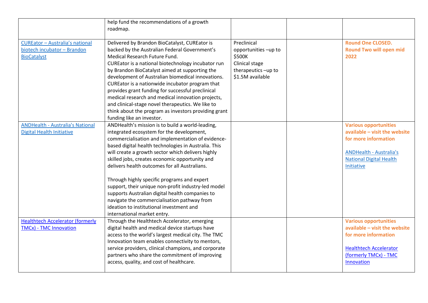|                                                                                             | help fund the recommendations of a growth                                                                                                                                                                                                                                                                                                                                                                                                                                                                                                                                                         |                                                          |                                                                                                                                                                         |
|---------------------------------------------------------------------------------------------|---------------------------------------------------------------------------------------------------------------------------------------------------------------------------------------------------------------------------------------------------------------------------------------------------------------------------------------------------------------------------------------------------------------------------------------------------------------------------------------------------------------------------------------------------------------------------------------------------|----------------------------------------------------------|-------------------------------------------------------------------------------------------------------------------------------------------------------------------------|
|                                                                                             | roadmap.                                                                                                                                                                                                                                                                                                                                                                                                                                                                                                                                                                                          |                                                          |                                                                                                                                                                         |
| <b>CUREator - Australia's national</b><br>biotech incubator - Brandon<br><b>BioCatalyst</b> | Delivered by Brandon BioCatalyst, CUREator is<br>backed by the Australian Federal Government's<br>Medical Research Future Fund.                                                                                                                                                                                                                                                                                                                                                                                                                                                                   | Preclinical<br>opportunities -up to<br>\$500K            | <b>Round One CLOSED.</b><br><b>Round Two will open mid</b><br>2022                                                                                                      |
|                                                                                             | CUREator is a national biotechnology incubator run<br>by Brandon BioCatalyst aimed at supporting the<br>development of Australian biomedical innovations.<br>CUREator is a nationwide incubator program that<br>provides grant funding for successful preclinical<br>medical research and medical innovation projects,<br>and clinical-stage novel therapeutics. We like to<br>think about the program as investors providing grant                                                                                                                                                               | Clinical stage<br>therapeutics-up to<br>\$1.5M available |                                                                                                                                                                         |
|                                                                                             | funding like an investor.<br>ANDHealth's mission is to build a world-leading,                                                                                                                                                                                                                                                                                                                                                                                                                                                                                                                     |                                                          |                                                                                                                                                                         |
| <b>ANDHealth - Australia's National</b><br><b>Digital Health Initiative</b>                 | integrated ecosystem for the development,<br>commercialisation and implementation of evidence-<br>based digital health technologies in Australia. This<br>will create a growth sector which delivers highly<br>skilled jobs, creates economic opportunity and<br>delivers health outcomes for all Australians.<br>Through highly specific programs and expert<br>support, their unique non-profit industry-led model<br>supports Australian digital health companies to<br>navigate the commercialisation pathway from<br>ideation to institutional investment and<br>international market entry. |                                                          | <b>Various opportunities</b><br>available - visit the website<br>for more information<br><b>ANDHealth - Australia's</b><br><b>National Digital Health</b><br>Initiative |
| <b>Healthtech Accelerator (formerly</b><br><b>TMCx) - TMC Innovation</b>                    | Through the Healthtech Accelerator, emerging<br>digital health and medical device startups have<br>access to the world's largest medical city. The TMC<br>Innovation team enables connectivity to mentors,<br>service providers, clinical champions, and corporate<br>partners who share the commitment of improving<br>access, quality, and cost of healthcare.                                                                                                                                                                                                                                  |                                                          | <b>Various opportunities</b><br>available - visit the website<br>for more information<br><b>Healthtech Accelerator</b><br>(formerly TMCx) - TMC<br>Innovation           |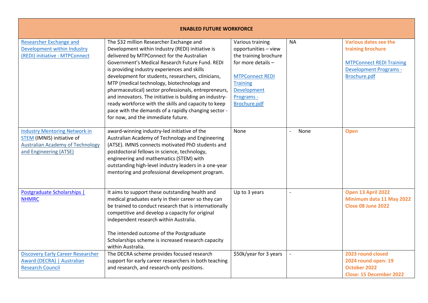| <b>ENABLED FUTURE WORKFORCE</b>                                                                                                         |                                                                                                                                                                                                                                                                                                                                                                                                                                                                                                                                                                                                                            |                                                                                                                                                                                   |                        |                                                                                                                                |  |
|-----------------------------------------------------------------------------------------------------------------------------------------|----------------------------------------------------------------------------------------------------------------------------------------------------------------------------------------------------------------------------------------------------------------------------------------------------------------------------------------------------------------------------------------------------------------------------------------------------------------------------------------------------------------------------------------------------------------------------------------------------------------------------|-----------------------------------------------------------------------------------------------------------------------------------------------------------------------------------|------------------------|--------------------------------------------------------------------------------------------------------------------------------|--|
| <b>Researcher Exchange and</b><br>Development within Industry<br>(REDI) initiative : MTPConnect                                         | The \$32 million Researcher Exchange and<br>Development within Industry (REDI) initiative is<br>delivered by MTPConnect for the Australian<br>Government's Medical Research Future Fund. REDI<br>is providing industry experiences and skills<br>development for students, researchers, clinicians,<br>MTP (medical technology, biotechnology and<br>pharmaceutical) sector professionals, entrepreneurs,<br>and innovators. The initiative is building an industry-<br>ready workforce with the skills and capacity to keep<br>pace with the demands of a rapidly changing sector -<br>for now, and the immediate future. | Various training<br>opportunities - view<br>the training brochure<br>for more details -<br><b>MTPConnect REDI</b><br><b>Training</b><br>Development<br>Programs -<br>Brochure.pdf | <b>NA</b>              | Various dates see the<br>training brochure<br><b>MTPConnect REDI Training</b><br><b>Development Programs -</b><br>Brochure.pdf |  |
| <b>Industry Mentoring Network in</b><br>STEM (IMNIS) initiative of<br><b>Australian Academy of Technology</b><br>and Engineering (ATSE) | award-winning industry-led initiative of the<br>Australian Academy of Technology and Engineering<br>(ATSE). IMNIS connects motivated PhD students and<br>postdoctoral fellows in science, technology,<br>engineering and mathematics (STEM) with<br>outstanding high-level industry leaders in a one-year<br>mentoring and professional development program.                                                                                                                                                                                                                                                               | None                                                                                                                                                                              | None<br>$\overline{a}$ | Open                                                                                                                           |  |
| Postgraduate Scholarships<br><b>NHMRC</b>                                                                                               | It aims to support these outstanding health and<br>medical graduates early in their career so they can<br>be trained to conduct research that is internationally<br>competitive and develop a capacity for original<br>independent research within Australia.<br>The intended outcome of the Postgraduate<br>Scholarships scheme is increased research capacity<br>within Australia.                                                                                                                                                                                                                                       | Up to 3 years                                                                                                                                                                     |                        | Open 13 April 2022<br>Minimum data 11 May 2022<br><b>Close 08 June 2022</b>                                                    |  |
| <b>Discovery Early Career Researcher</b><br>Award (DECRA)   Australian<br><b>Research Council</b>                                       | The DECRA scheme provides focused research<br>support for early career researchers in both teaching<br>and research, and research-only positions.                                                                                                                                                                                                                                                                                                                                                                                                                                                                          | \$50k/year for 3 years                                                                                                                                                            |                        | 2023 round closed<br>2024 round open: 19<br>October 2022<br><b>Close: 15 December 2022</b>                                     |  |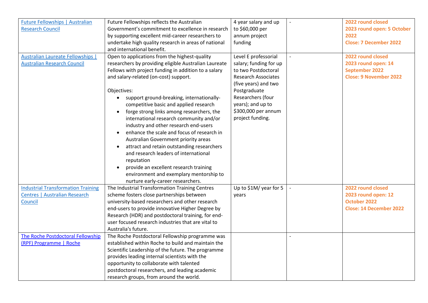| <b>Future Fellowships   Australian</b>    | Future Fellowships reflects the Australian              | 4 year salary and up       |                          | 2022 round closed              |
|-------------------------------------------|---------------------------------------------------------|----------------------------|--------------------------|--------------------------------|
| <b>Research Council</b>                   | Government's commitment to excellence in research       | to \$60,000 per            |                          | 2023 round open: 5 October     |
|                                           | by supporting excellent mid-career researchers to       | annum project              |                          | 2022                           |
|                                           | undertake high quality research in areas of national    | funding                    |                          | <b>Close: 7 December 2022</b>  |
|                                           | and international benefit.                              |                            |                          |                                |
| <b>Australian Laureate Fellowships  </b>  | Open to applications from the highest-quality           | Level E professorial       |                          | 2022 round closed              |
| <b>Australian Research Council</b>        | researchers by providing eligible Australian Laureate   | salary; funding for up     |                          | 2023 round open: 14            |
|                                           | Fellows with project funding in addition to a salary    | to two Postdoctoral        |                          | <b>September 2022</b>          |
|                                           | and salary-related (on-cost) support.                   | <b>Research Associates</b> |                          | <b>Close: 9 November 2022</b>  |
|                                           |                                                         | (five years) and two       |                          |                                |
|                                           | Objectives:                                             | Postgraduate               |                          |                                |
|                                           | support ground-breaking, internationally-               | Researchers (four          |                          |                                |
|                                           | competitive basic and applied research                  | years); and up to          |                          |                                |
|                                           | forge strong links among researchers, the<br>$\bullet$  | \$300,000 per annum        |                          |                                |
|                                           | international research community and/or                 | project funding.           |                          |                                |
|                                           | industry and other research end-users                   |                            |                          |                                |
|                                           | enhance the scale and focus of research in<br>$\bullet$ |                            |                          |                                |
|                                           | Australian Government priority areas                    |                            |                          |                                |
|                                           | attract and retain outstanding researchers<br>$\bullet$ |                            |                          |                                |
|                                           | and research leaders of international                   |                            |                          |                                |
|                                           | reputation                                              |                            |                          |                                |
|                                           | provide an excellent research training<br>$\bullet$     |                            |                          |                                |
|                                           | environment and exemplary mentorship to                 |                            |                          |                                |
|                                           | nurture early-career researchers.                       |                            |                          |                                |
| <b>Industrial Transformation Training</b> | The Industrial Transformation Training Centres          | Up to \$1M/ year for 5     | $\overline{\phantom{a}}$ | 2022 round closed              |
| <b>Centres   Australian Research</b>      | scheme fosters close partnerships between               | vears                      |                          | 2023 round open: 12            |
| Council                                   | university-based researchers and other research         |                            |                          | October 2022                   |
|                                           | end-users to provide innovative Higher Degree by        |                            |                          | <b>Close: 14 December 2022</b> |
|                                           | Research (HDR) and postdoctoral training, for end-      |                            |                          |                                |
|                                           | user focused research industries that are vital to      |                            |                          |                                |
|                                           | Australia's future.                                     |                            |                          |                                |
| The Roche Postdoctoral Fellowship         | The Roche Postdoctoral Fellowship programme was         |                            |                          |                                |
| (RPF) Programme   Roche                   | established within Roche to build and maintain the      |                            |                          |                                |
|                                           | Scientific Leadership of the future. The programme      |                            |                          |                                |
|                                           | provides leading internal scientists with the           |                            |                          |                                |
|                                           | opportunity to collaborate with talented                |                            |                          |                                |
|                                           | postdoctoral researchers, and leading academic          |                            |                          |                                |
|                                           | research groups, from around the world.                 |                            |                          |                                |
|                                           |                                                         |                            |                          |                                |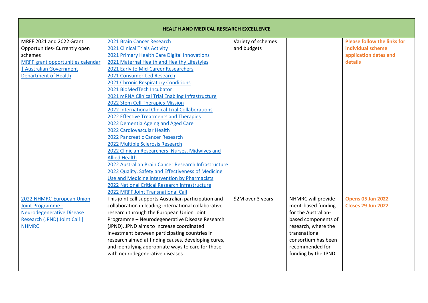| <b>HEALTH AND MEDICAL RESEARCH EXCELLENCE</b> |                                                       |                    |                      |                                    |
|-----------------------------------------------|-------------------------------------------------------|--------------------|----------------------|------------------------------------|
| MRFF 2021 and 2022 Grant                      | 2021 Brain Cancer Research                            | Variety of schemes |                      | <b>Please follow the links for</b> |
| Opportunities- Currently open                 | 2021 Clinical Trials Activity                         | and budgets        |                      | individual scheme                  |
| schemes                                       | 2021 Primary Health Care Digital Innovations          |                    |                      | application dates and              |
| MRFF grant opportunities calendar             | 2021 Maternal Health and Healthy Lifestyles           |                    |                      | details                            |
| <b>Australian Government</b>                  | 2021 Early to Mid-Career Researchers                  |                    |                      |                                    |
| <b>Department of Health</b>                   | 2021 Consumer-Led Research                            |                    |                      |                                    |
|                                               | 2021 Chronic Respiratory Conditions                   |                    |                      |                                    |
|                                               | 2021 BioMedTech Incubator                             |                    |                      |                                    |
|                                               | 2021 mRNA Clinical Trial Enabling Infrastructure      |                    |                      |                                    |
|                                               | 2022 Stem Cell Therapies Mission                      |                    |                      |                                    |
|                                               | 2022 International Clinical Trial Collaborations      |                    |                      |                                    |
|                                               | 2022 Effective Treatments and Therapies               |                    |                      |                                    |
|                                               | 2022 Dementia Ageing and Aged Care                    |                    |                      |                                    |
|                                               | 2022 Cardiovascular Health                            |                    |                      |                                    |
|                                               | 2022 Pancreatic Cancer Research                       |                    |                      |                                    |
|                                               | 2022 Multiple Sclerosis Research                      |                    |                      |                                    |
|                                               | 2022 Clinician Researchers: Nurses, Midwives and      |                    |                      |                                    |
|                                               | <b>Allied Health</b>                                  |                    |                      |                                    |
|                                               | 2022 Australian Brain Cancer Research Infrastructure  |                    |                      |                                    |
|                                               | 2022 Quality, Safety and Effectiveness of Medicine    |                    |                      |                                    |
|                                               | Use and Medicine Intervention by Pharmacists          |                    |                      |                                    |
|                                               | 2022 National Critical Research Infrastructure        |                    |                      |                                    |
|                                               | 2022 MRFF Joint Transnational Call                    |                    |                      |                                    |
| 2022 NHMRC-European Union                     | This joint call supports Australian participation and | \$2M over 3 years  | NHMRC will provide   | <b>Opens 05 Jan 2022</b>           |
| Joint Programme -                             | collaboration in leading international collaborative  |                    | merit-based funding  | <b>Closes 29 Jun 2022</b>          |
| <b>Neurodegenerative Disease</b>              | research through the European Union Joint             |                    | for the Australian-  |                                    |
| Research (JPND) Joint Call                    | Programme - Neurodegenerative Disease Research        |                    | based components of  |                                    |
| <b>NHMRC</b>                                  | (JPND). JPND aims to increase coordinated             |                    | research, where the  |                                    |
|                                               | investment between participating countries in         |                    | transnational        |                                    |
|                                               | research aimed at finding causes, developing cures,   |                    | consortium has been  |                                    |
|                                               | and identifying appropriate ways to care for those    |                    | recommended for      |                                    |
|                                               | with neurodegenerative diseases.                      |                    | funding by the JPND. |                                    |
|                                               |                                                       |                    |                      |                                    |
|                                               |                                                       |                    |                      |                                    |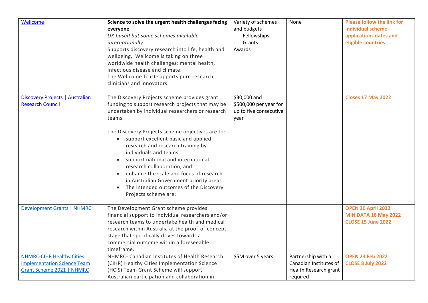| Wellcome                           | Science to solve the urgent health challenges facing | Variety of schemes     | None                   | <b>Please follow the link for</b> |
|------------------------------------|------------------------------------------------------|------------------------|------------------------|-----------------------------------|
|                                    | everyone                                             | and budgets            |                        | individual scheme                 |
|                                    | UK based but some schemes available                  | Fellowships            |                        | applications dates and            |
|                                    | internationally.                                     | Grants                 |                        | eligible countries                |
|                                    | Supports discovery research into life, health and    | Awards                 |                        |                                   |
|                                    | wellbeing, Wellcome is taking on three               |                        |                        |                                   |
|                                    | worldwide health challenges: mental health,          |                        |                        |                                   |
|                                    | infectious disease and climate.                      |                        |                        |                                   |
|                                    | The Wellcome Trust supports pure research,           |                        |                        |                                   |
|                                    | clinicians and innovators.                           |                        |                        |                                   |
|                                    |                                                      |                        |                        |                                   |
| Discovery Projects   Australian    | The Discovery Projects scheme provides grant         | \$30,000 and           |                        | <b>Closes 17 May 2022</b>         |
| <b>Research Council</b>            | funding to support research projects that may be     | \$500,000 per year for |                        |                                   |
|                                    | undertaken by individual researchers or research     | up to five consecutive |                        |                                   |
|                                    | teams.                                               | year                   |                        |                                   |
|                                    |                                                      |                        |                        |                                   |
|                                    | The Discovery Projects scheme objectives are to:     |                        |                        |                                   |
|                                    | support excellent basic and applied                  |                        |                        |                                   |
|                                    | research and research training by                    |                        |                        |                                   |
|                                    | individuals and teams;                               |                        |                        |                                   |
|                                    | support national and international                   |                        |                        |                                   |
|                                    | research collaboration; and                          |                        |                        |                                   |
|                                    | enhance the scale and focus of research              |                        |                        |                                   |
|                                    | in Australian Government priority areas              |                        |                        |                                   |
|                                    | The intended outcomes of the Discovery<br>$\bullet$  |                        |                        |                                   |
|                                    | Projects scheme are:                                 |                        |                        |                                   |
|                                    |                                                      |                        |                        |                                   |
| <b>Development Grants   NHMRC</b>  | The Development Grant scheme provides                |                        |                        | OPEN 20 April 2022                |
|                                    | financial support to individual researchers and/or   |                        |                        | <b>MIN DATA 18 May 2022</b>       |
|                                    | research teams to undertake health and medical       |                        |                        | <b>CLOSE 15 June 2022</b>         |
|                                    | research within Australia at the proof-of-concept    |                        |                        |                                   |
|                                    | stage that specifically drives towards a             |                        |                        |                                   |
|                                    | commercial outcome within a foreseeable              |                        |                        |                                   |
|                                    | timeframe.                                           |                        |                        |                                   |
| <b>NHMRC-CIHR Healthy Cities</b>   | NHMRC- Canadian Institutes of Health Research        | \$5M over 5 years      | Partnership with a     | <b>OPEN 23 Feb 2022</b>           |
| <b>Implementation Science Team</b> | (CIHR) Healthy Cities Implementation Science         |                        | Canadian Institutes of | <b>CLOSE 8 July 2022</b>          |
| Grant Scheme 2021   NHMRC          | (HCIS) Team Grant Scheme will support                |                        | Health Research grant  |                                   |
|                                    | Australian participation and collaboration in        |                        | required               |                                   |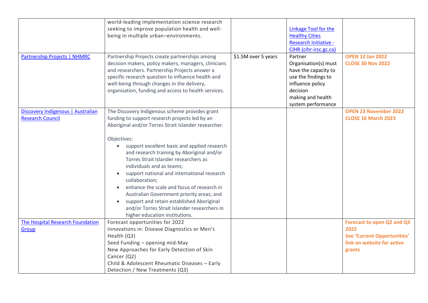|                                     | world-leading implementation science research            |                     |                              |                                    |
|-------------------------------------|----------------------------------------------------------|---------------------|------------------------------|------------------------------------|
|                                     | seeking to improve population health and well-           |                     | <b>Linkage Tool for the</b>  |                                    |
|                                     | being in multiple urban-environments.                    |                     | <b>Healthy Cities</b>        |                                    |
|                                     |                                                          |                     | <b>Research Initiative -</b> |                                    |
|                                     |                                                          |                     | CIHR (cihr-irsc.gc.ca)       |                                    |
| <b>Partnership Projects   NHMRC</b> | Partnership Projects create partnerships among           | \$1.5M over 5 years | Partner                      | <b>OPEN 12 Jan 2022</b>            |
|                                     | decision makers, policy makers, managers, clinicians     |                     | Organisation(s) must         | <b>CLOSE 30 Nov 2022</b>           |
|                                     | and researchers. Partnership Projects answer a           |                     | have the capacity to         |                                    |
|                                     | specific research question to influence health and       |                     | use the findings to          |                                    |
|                                     | well-being through changes in the delivery,              |                     | influence policy             |                                    |
|                                     | organisation, funding and access to health services.     |                     | decision                     |                                    |
|                                     |                                                          |                     | making and health            |                                    |
|                                     |                                                          |                     |                              |                                    |
|                                     |                                                          |                     | system performance           |                                    |
| Discovery Indigenous   Australian   | The Discovery Indigenous scheme provides grant           |                     |                              | <b>OPEN 23 November 2022</b>       |
| <b>Research Council</b>             | funding to support research projects led by an           |                     |                              | <b>CLOSE 16 March 2023</b>         |
|                                     | Aboriginal and/or Torres Strait Islander researcher.     |                     |                              |                                    |
|                                     |                                                          |                     |                              |                                    |
|                                     | Objectives:                                              |                     |                              |                                    |
|                                     | support excellent basic and applied research             |                     |                              |                                    |
|                                     | and research training by Aboriginal and/or               |                     |                              |                                    |
|                                     | Torres Strait Islander researchers as                    |                     |                              |                                    |
|                                     | individuals and as teams;                                |                     |                              |                                    |
|                                     | support national and international research<br>$\bullet$ |                     |                              |                                    |
|                                     | collaboration;                                           |                     |                              |                                    |
|                                     | enhance the scale and focus of research in               |                     |                              |                                    |
|                                     | Australian Government priority areas; and                |                     |                              |                                    |
|                                     | support and retain established Aboriginal<br>$\bullet$   |                     |                              |                                    |
|                                     | and/or Torres Strait Islander researchers in             |                     |                              |                                    |
|                                     | higher education institutions.                           |                     |                              |                                    |
| The Hospital Research Foundation    | Forecast opportunities for 2022                          |                     |                              | Forecast to open Q2 and Q3         |
| Group                               | Innovations in: Disease Diagnostics or Men's             |                     |                              | 2022                               |
|                                     | Health (Q3)                                              |                     |                              | <b>See 'Current Opportunities'</b> |
|                                     | Seed Funding - opening mid-May                           |                     |                              | link on website for active         |
|                                     | New Approaches for Early Detection of Skin               |                     |                              | grants                             |
|                                     | Cancer (Q2)                                              |                     |                              |                                    |
|                                     | Child & Adolescent Rheumatic Diseases - Early            |                     |                              |                                    |
|                                     | Detection / New Treatments (Q3)                          |                     |                              |                                    |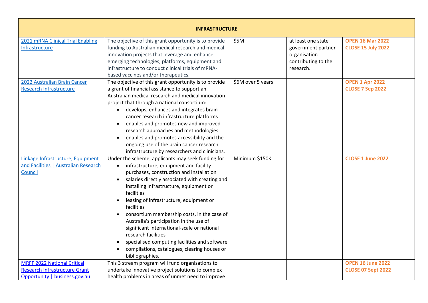| <b>INFRASTRUCTURE</b>                                                                                       |                                                                                                                                                                                                                                                                                                                                                                                                                                                                                                                                                                                                                                                      |                   |                                                                                              |                                                       |
|-------------------------------------------------------------------------------------------------------------|------------------------------------------------------------------------------------------------------------------------------------------------------------------------------------------------------------------------------------------------------------------------------------------------------------------------------------------------------------------------------------------------------------------------------------------------------------------------------------------------------------------------------------------------------------------------------------------------------------------------------------------------------|-------------------|----------------------------------------------------------------------------------------------|-------------------------------------------------------|
| 2021 mRNA Clinical Trial Enabling<br>Infrastructure                                                         | The objective of this grant opportunity is to provide<br>funding to Australian medical research and medical<br>innovation projects that leverage and enhance<br>emerging technologies, platforms, equipment and<br>infrastructure to conduct clinical trials of mRNA-<br>based vaccines and/or therapeutics.                                                                                                                                                                                                                                                                                                                                         | \$5M              | at least one state<br>government partner<br>organisation<br>contributing to the<br>research. | <b>OPEN 16 Mar 2022</b><br><b>CLOSE 15 July 2022</b>  |
| 2022 Australian Brain Cancer<br><b>Research Infrastructure</b>                                              | The objective of this grant opportunity is to provide<br>a grant of financial assistance to support an<br>Australian medical research and medical innovation<br>project that through a national consortium:<br>develops, enhances and integrates brain<br>cancer research infrastructure platforms<br>enables and promotes new and improved<br>research approaches and methodologies<br>enables and promotes accessibility and the<br>ongoing use of the brain cancer research<br>infrastructure by researchers and clinicians.                                                                                                                      | \$6M over 5 years |                                                                                              | <b>OPEN 1 Apr 2022</b><br><b>CLOSE 7 Sep 2022</b>     |
| Linkage Infrastructure, Equipment<br>and Facilities   Australian Research<br>Council                        | Under the scheme, applicants may seek funding for:<br>infrastructure, equipment and facility<br>$\bullet$<br>purchases, construction and installation<br>salaries directly associated with creating and<br>$\bullet$<br>installing infrastructure, equipment or<br>facilities<br>leasing of infrastructure, equipment or<br>facilities<br>consortium membership costs, in the case of<br>Australia's participation in the use of<br>significant international-scale or national<br>research facilities<br>specialised computing facilities and software<br>$\bullet$<br>compilations, catalogues, clearing houses or<br>$\bullet$<br>bibliographies. | Minimum \$150K    |                                                                                              | <b>CLOSE 1 June 2022</b>                              |
| <b>MRFF 2022 National Critical</b><br><b>Research Infrastructure Grant</b><br>Opportunity   business.gov.au | This 3 stream program will fund organisations to<br>undertake innovative project solutions to complex<br>health problems in areas of unmet need to improve                                                                                                                                                                                                                                                                                                                                                                                                                                                                                           |                   |                                                                                              | <b>OPEN 16 June 2022</b><br><b>CLOSE 07 Sept 2022</b> |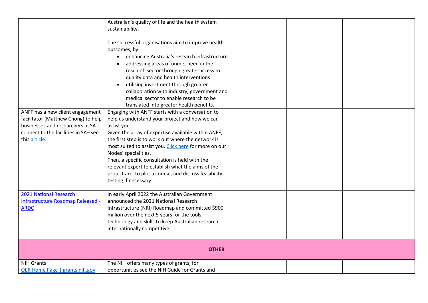|                                      | Australian's quality of life and the health system     |  |  |
|--------------------------------------|--------------------------------------------------------|--|--|
|                                      | sustainability.                                        |  |  |
|                                      |                                                        |  |  |
|                                      | The successful organisations aim to improve health     |  |  |
|                                      | outcomes, by:                                          |  |  |
|                                      | enhancing Australia's research infrastructure          |  |  |
|                                      | addressing areas of unmet need in the                  |  |  |
|                                      | research sector through greater access to              |  |  |
|                                      | quality data and health interventions                  |  |  |
|                                      | utilising investment through greater                   |  |  |
|                                      | collaboration with industry, government and            |  |  |
|                                      | medical sector to enable research to be                |  |  |
|                                      | translated into greater health benefits.               |  |  |
| ANFF has a new client engagement     | Engaging with ANFF starts with a conversation to       |  |  |
| facilitator (Matthew Chong) to help  | help us understand your project and how we can         |  |  |
| businesses and researchers in SA     | assist you.                                            |  |  |
| connect to the facilities in SA- see | Given the array of expertise available within ANFF,    |  |  |
| this article.                        | the first step is to work out where the network is     |  |  |
|                                      | most suited to assist you. Click here for more on our  |  |  |
|                                      | Nodes' specialities.                                   |  |  |
|                                      | Then, a specific consultation is held with the         |  |  |
|                                      | relevant expert to establish what the aims of the      |  |  |
|                                      | project are, to plot a course, and discuss feasibility |  |  |
|                                      | testing if necessary.                                  |  |  |
|                                      |                                                        |  |  |
| 2021 National Research               | In early April 2022 the Australian Government          |  |  |
| Infrastructure Roadmap Released -    | announced the 2021 National Research                   |  |  |
| <b>ARDC</b>                          | Infrastructure (NRI) Roadmap and committed \$900       |  |  |
|                                      | million over the next 5 years for the tools,           |  |  |
|                                      | technology and skills to keep Australian research      |  |  |
|                                      | internationally competitive.                           |  |  |
|                                      |                                                        |  |  |
|                                      |                                                        |  |  |
|                                      | <b>OTHER</b>                                           |  |  |
| <b>NIH Grants</b>                    | The NIH offers many types of grants, for               |  |  |
| OER Home Page   grants.nih.gov       | opportunities see the NIH Guide for Grants and         |  |  |